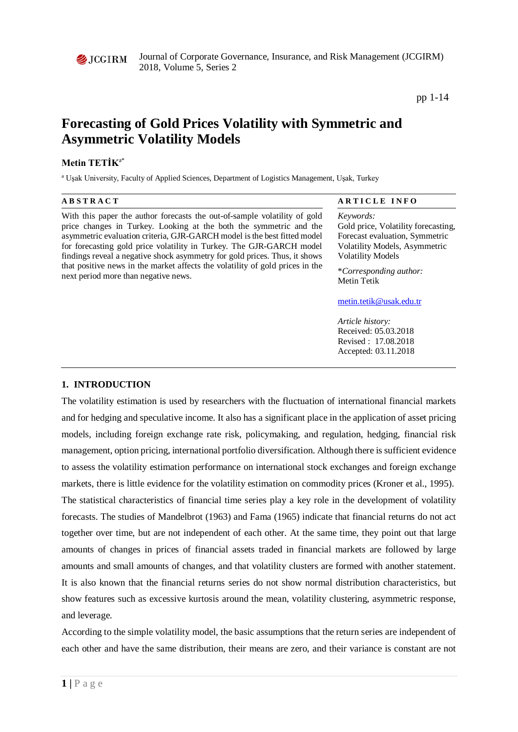

Journal of Corporate Governance, Insurance, and Risk Management (JCGIRM) 2018, Volume 5, Series 2

pp 1-14

# **Forecasting of Gold Prices Volatility with Symmetric and Asymmetric Volatility Models**

# **Metin TETİK**a\*

<sup>a</sup> Uşak University, Faculty of Applied Sciences, Department of Logistics Management, Uşak, Turkey

| <b>ABSTRACT</b>                                                                                                                                                                                                                                                                                                                                                                                                                                                                                            | ARTICLE INFO                                                                                                                                                                                    |
|------------------------------------------------------------------------------------------------------------------------------------------------------------------------------------------------------------------------------------------------------------------------------------------------------------------------------------------------------------------------------------------------------------------------------------------------------------------------------------------------------------|-------------------------------------------------------------------------------------------------------------------------------------------------------------------------------------------------|
| With this paper the author forecasts the out-of-sample volatility of gold<br>price changes in Turkey. Looking at the both the symmetric and the<br>asymmetric evaluation criteria, GJR-GARCH model is the best fitted model<br>for forecasting gold price volatility in Turkey. The GJR-GARCH model<br>findings reveal a negative shock asymmetry for gold prices. Thus, it shows<br>that positive news in the market affects the volatility of gold prices in the<br>next period more than negative news. | Keywords:<br>Gold price, Volatility forecasting,<br>Forecast evaluation, Symmetric<br><b>Volatility Models, Asymmetric</b><br><b>Volatility Models</b><br>*Corresponding author:<br>Metin Tetik |
|                                                                                                                                                                                                                                                                                                                                                                                                                                                                                                            | metin.tetik@usak.edu.tr                                                                                                                                                                         |

*Article history:*  Received: 05.03.2018 Revised : 17.08.2018 Accepted: 03.11.2018

# **1. INTRODUCTION**

The volatility estimation is used by researchers with the fluctuation of international financial markets and for hedging and speculative income. It also has a significant place in the application of asset pricing models, including foreign exchange rate risk, policymaking, and regulation, hedging, financial risk management, option pricing, international portfolio diversification. Although there is sufficient evidence to assess the volatility estimation performance on international stock exchanges and foreign exchange markets, there is little evidence for the volatility estimation on commodity prices (Kroner et al., 1995). The statistical characteristics of financial time series play a key role in the development of volatility forecasts. The studies of Mandelbrot (1963) and Fama (1965) indicate that financial returns do not act together over time, but are not independent of each other. At the same time, they point out that large amounts of changes in prices of financial assets traded in financial markets are followed by large amounts and small amounts of changes, and that volatility clusters are formed with another statement. It is also known that the financial returns series do not show normal distribution characteristics, but show features such as excessive kurtosis around the mean, volatility clustering, asymmetric response, and leverage.

According to the simple volatility model, the basic assumptions that the return series are independent of each other and have the same distribution, their means are zero, and their variance is constant are not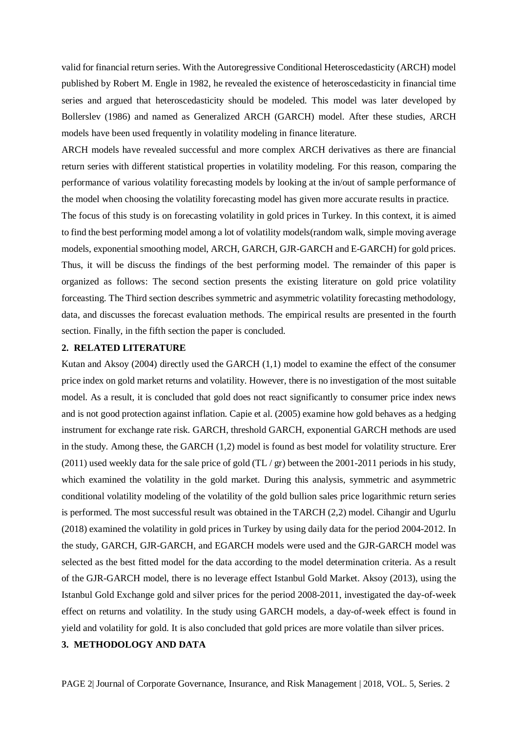valid for financial return series. With the Autoregressive Conditional Heteroscedasticity (ARCH) model published by Robert M. Engle in 1982, he revealed the existence of heteroscedasticity in financial time series and argued that heteroscedasticity should be modeled. This model was later developed by Bollerslev (1986) and named as Generalized ARCH (GARCH) model. After these studies, ARCH models have been used frequently in volatility modeling in finance literature.

ARCH models have revealed successful and more complex ARCH derivatives as there are financial return series with different statistical properties in volatility modeling. For this reason, comparing the performance of various volatility forecasting models by looking at the in/out of sample performance of the model when choosing the volatility forecasting model has given more accurate results in practice.

The focus of this study is on forecasting volatility in gold prices in Turkey. In this context, it is aimed to find the best performing model among a lot of volatility models(random walk, simple moving average models, exponential smoothing model, ARCH, GARCH, GJR-GARCH and E-GARCH) for gold prices. Thus, it will be discuss the findings of the best performing model. The remainder of this paper is organized as follows: The second section presents the existing literature on gold price volatility forceasting. The Third section describes symmetric and asymmetric volatility forecasting methodology, data, and discusses the forecast evaluation methods. The empirical results are presented in the fourth section. Finally, in the fifth section the paper is concluded.

#### **2. RELATED LITERATURE**

Kutan and Aksoy (2004) directly used the GARCH (1,1) model to examine the effect of the consumer price index on gold market returns and volatility. However, there is no investigation of the most suitable model. As a result, it is concluded that gold does not react significantly to consumer price index news and is not good protection against inflation. Capie et al. (2005) examine how gold behaves as a hedging instrument for exchange rate risk. GARCH, threshold GARCH, exponential GARCH methods are used in the study. Among these, the GARCH (1,2) model is found as best model for volatility structure. Erer (2011) used weekly data for the sale price of gold  $(TL / gr)$  between the 2001-2011 periods in his study, which examined the volatility in the gold market. During this analysis, symmetric and asymmetric conditional volatility modeling of the volatility of the gold bullion sales price logarithmic return series is performed. The most successful result was obtained in the TARCH (2,2) model. Cihangir and Ugurlu (2018) examined the volatility in gold prices in Turkey by using daily data for the period 2004-2012. In the study, GARCH, GJR-GARCH, and EGARCH models were used and the GJR-GARCH model was selected as the best fitted model for the data according to the model determination criteria. As a result of the GJR-GARCH model, there is no leverage effect Istanbul Gold Market. Aksoy (2013), using the Istanbul Gold Exchange gold and silver prices for the period 2008-2011, investigated the day-of-week effect on returns and volatility. In the study using GARCH models, a day-of-week effect is found in yield and volatility for gold. It is also concluded that gold prices are more volatile than silver prices.

# **3. METHODOLOGY AND DATA**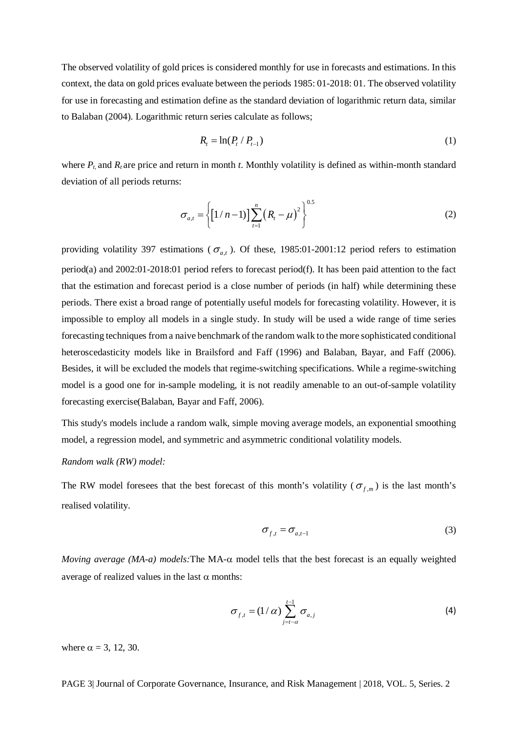The observed volatility of gold prices is considered monthly for use in forecasts and estimations. In this context, the data on gold prices evaluate between the periods 1985: 01-2018: 01. The observed volatility for use in forecasting and estimation define as the standard deviation of logarithmic return data, similar to Balaban (2004). Logarithmic return series calculate as follows;

$$
R_t = \ln(P_t \mid P_{t-1})\tag{1}
$$

where  $P_t$  and  $R_t$  are price and return in month *t*. Monthly volatility is defined as within-month standard deviation of all periods returns:

$$
\sigma_{a,t} = \left\{ \left[ 1/n - 1 \right] \right\} \sum_{t=1}^{n} \left( R_t - \mu \right)^2 \right\}^{0.5}
$$
 (2)

providing volatility 397 estimations ( $\sigma_{a,t}$ ). Of these, 1985:01-2001:12 period refers to estimation period(a) and 2002:01-2018:01 period refers to forecast period(f). It has been paid attention to the fact that the estimation and forecast period is a close number of periods (in half) while determining these periods. There exist a broad range of potentially useful models for forecasting volatility. However, it is impossible to employ all models in a single study. In study will be used a wide range of time series forecasting techniques from a naive benchmark of the random walk to the more sophisticated conditional heteroscedasticity models like in Brailsford and Faff (1996) and Balaban, Bayar, and Faff (2006). Besides, it will be excluded the models that regime-switching specifications. While a regime-switching model is a good one for in-sample modeling, it is not readily amenable to an out-of-sample volatility forecasting exercise(Balaban, Bayar and Faff, 2006).

This study's models include a random walk, simple moving average models, an exponential smoothing model, a regression model, and symmetric and asymmetric conditional volatility models.

# *Random walk (RW) model:*

The RW model foresees that the best forecast of this month's volatility ( $\sigma_{f,m}$ ) is the last month's realised volatility.

$$
\sigma_{f,t} = \sigma_{a,t-1} \tag{3}
$$

*Moving average (MA-a) models:*The MA-α model tells that the best forecast is an equally weighted average of realized values in the last  $\alpha$  months:

$$
\sigma_{f,t} = (1/\alpha) \sum_{j=t-\alpha}^{t-1} \sigma_{a,j} \tag{4}
$$

where  $\alpha = 3$ , 12, 30.

PAGE 3| Journal of Corporate Governance, Insurance, and Risk Management | 2018, VOL. 5, Series. 2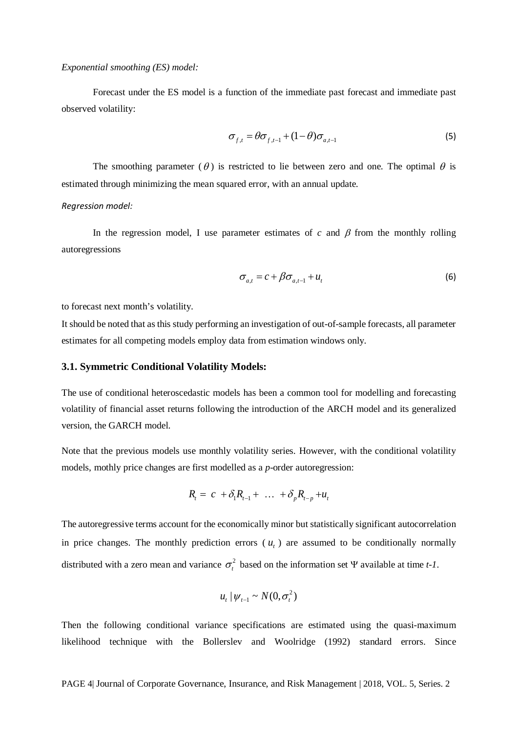#### *Exponential smoothing (ES) model:*

Forecast under the ES model is a function of the immediate past forecast and immediate past observed volatility:

$$
\sigma_{f,t} = \theta \sigma_{f,t-1} + (1 - \theta) \sigma_{a,t-1} \tag{5}
$$

The smoothing parameter ( $\theta$ ) is restricted to lie between zero and one. The optimal  $\theta$  is estimated through minimizing the mean squared error, with an annual update.

#### *Regression model:*

In the regression model, I use parameter estimates of  $c$  and  $\beta$  from the monthly rolling autoregressions

$$
\sigma_{a,t} = c + \beta \sigma_{a,t-1} + u_t \tag{6}
$$

to forecast next month's volatility.

It should be noted that as this study performing an investigation of out-of-sample forecasts, all parameter estimates for all competing models employ data from estimation windows only.

# **3.1. Symmetric Conditional Volatility Models:**

The use of conditional heteroscedastic models has been a common tool for modelling and forecasting volatility of financial asset returns following the introduction of the ARCH model and its generalized version, the GARCH model.

Note that the previous models use monthly volatility series. However, with the conditional volatility models, mothly price changes are first modelled as a *p*-order autoregression:

$$
R_t = c + \delta_1 R_{t-1} + \ldots + \delta_p R_{t-p} + u_t
$$

The autoregressive terms account for the economically minor but statistically significant autocorrelation in price changes. The monthly prediction errors  $(u<sub>i</sub>)$  are assumed to be conditionally normally distributed with a zero mean and variance  $\sigma_t^2$  based on the information set Ψ available at time *t*-1.

$$
u_t | \psi_{t-1} \sim N(0, \sigma_t^2)
$$

Then the following conditional variance specifications are estimated using the quasi-maximum likelihood technique with the Bollerslev and Woolridge (1992) standard errors. Since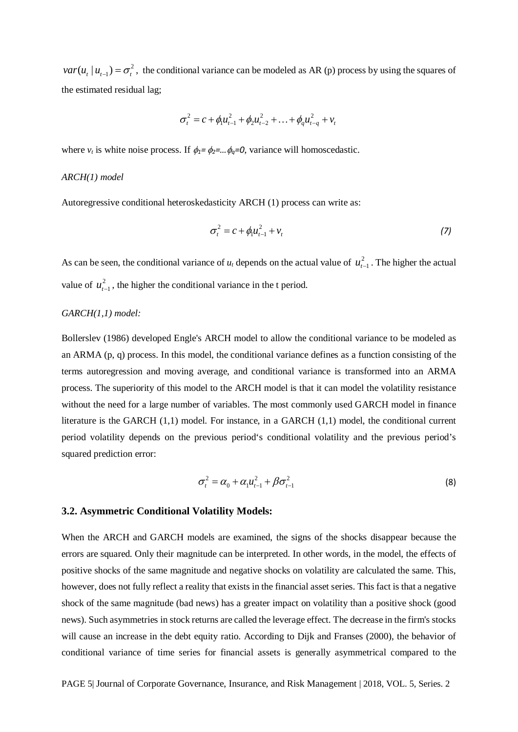$var(u_t | u_{t-1}) = \sigma_t^2$ , the conditional variance can be modeled as AR (p) process by using the squares of the estimated residual lag;

$$
\sigma_t^2 = c + \phi_1 u_{t-1}^2 + \phi_2 u_{t-2}^2 + \ldots + \phi_q u_{t-q}^2 + v_t
$$

where  $v_t$  is white noise process. If  $\phi_1 = \phi_2 = ... \phi_q = 0$ , variance will homoscedastic.

## *ARCH(1) model*

Autoregressive conditional heteroskedasticity ARCH (1) process can write as:

$$
\sigma_t^2 = c + \phi_1 u_{t-1}^2 + v_t \tag{7}
$$

As can be seen, the conditional variance of  $u_t$  depends on the actual value of  $u_{t-1}^2$ . The higher the actual value of  $u_{t-1}^2$ , the higher the conditional variance in the t period.

# *GARCH(1,1) model:*

Bollerslev (1986) developed Engle's ARCH model to allow the conditional variance to be modeled as an ARMA (p, q) process. In this model, the conditional variance defines as a function consisting of the terms autoregression and moving average, and conditional variance is transformed into an ARMA process. The superiority of this model to the ARCH model is that it can model the volatility resistance without the need for a large number of variables. The most commonly used GARCH model in finance literature is the GARCH (1,1) model. For instance, in a GARCH (1,1) model, the conditional current period volatility depends on the previous period's conditional volatility and the previous period's squared prediction error:

$$
\sigma_t^2 = \alpha_0 + \alpha_1 u_{t-1}^2 + \beta \sigma_{t-1}^2
$$
 (8)

#### **3.2. Asymmetric Conditional Volatility Models:**

When the ARCH and GARCH models are examined, the signs of the shocks disappear because the errors are squared. Only their magnitude can be interpreted. In other words, in the model, the effects of positive shocks of the same magnitude and negative shocks on volatility are calculated the same. This, however, does not fully reflect a reality that exists in the financial asset series. This fact is that a negative shock of the same magnitude (bad news) has a greater impact on volatility than a positive shock (good news). Such asymmetries in stock returns are called the leverage effect. The decrease in the firm's stocks will cause an increase in the debt equity ratio. According to Dijk and Franses (2000), the behavior of conditional variance of time series for financial assets is generally asymmetrical compared to the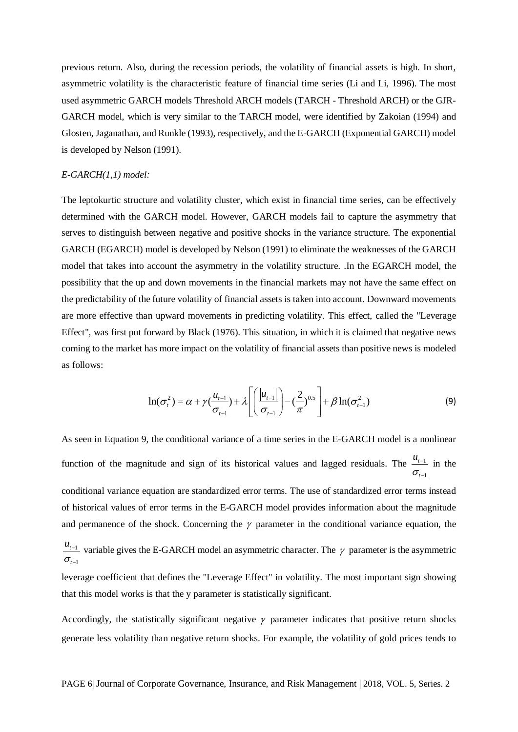previous return. Also, during the recession periods, the volatility of financial assets is high. In short, asymmetric volatility is the characteristic feature of financial time series (Li and Li, 1996). The most used asymmetric GARCH models Threshold ARCH models (TARCH - Threshold ARCH) or the GJR-GARCH model, which is very similar to the TARCH model, were identified by Zakoian (1994) and Glosten, Jaganathan, and Runkle (1993), respectively, and the E-GARCH (Exponential GARCH) model is developed by Nelson (1991).

#### *E-GARCH(1,1) model:*

The leptokurtic structure and volatility cluster, which exist in financial time series, can be effectively determined with the GARCH model. However, GARCH models fail to capture the asymmetry that serves to distinguish between negative and positive shocks in the variance structure. The exponential GARCH (EGARCH) model is developed by Nelson (1991) to eliminate the weaknesses of the GARCH model that takes into account the asymmetry in the volatility structure. .In the EGARCH model, the possibility that the up and down movements in the financial markets may not have the same effect on the predictability of the future volatility of financial assets is taken into account. Downward movements are more effective than upward movements in predicting volatility. This effect, called the "Leverage Effect", was first put forward by Black (1976). This situation, in which it is claimed that negative news coming to the market has more impact on the volatility of financial assets than positive news is modeled as follows:

$$
\ln(\sigma_t^2) = \alpha + \gamma \left(\frac{u_{t-1}}{\sigma_{t-1}}\right) + \lambda \left[ \left(\frac{|u_{t-1}|}{\sigma_{t-1}}\right) - \left(\frac{2}{\pi}\right)^{0.5} \right] + \beta \ln(\sigma_{t-1}^2)
$$
(9)

As seen in Equation 9, the conditional variance of a time series in the E-GARCH model is a nonlinear function of the magnitude and sign of its historical values and lagged residuals. The 1 1 *t*  $u_{i}$ σ − − in the

conditional variance equation are standardized error terms. The use of standardized error terms instead of historical values of error terms in the E-GARCH model provides information about the magnitude and permanence of the shock. Concerning the  $\gamma$  parameter in the conditional variance equation, the

 $\sigma_{\scriptscriptstyle{t-1}}$  $u_{t-1}$  variable gives the E-GARCH model an asymmetric character. The  $\gamma$  parameter is the asymmetric

leverage coefficient that defines the "Leverage Effect" in volatility. The most important sign showing that this model works is that the y parameter is statistically significant.

Accordingly, the statistically significant negative  $\gamma$  parameter indicates that positive return shocks generate less volatility than negative return shocks. For example, the volatility of gold prices tends to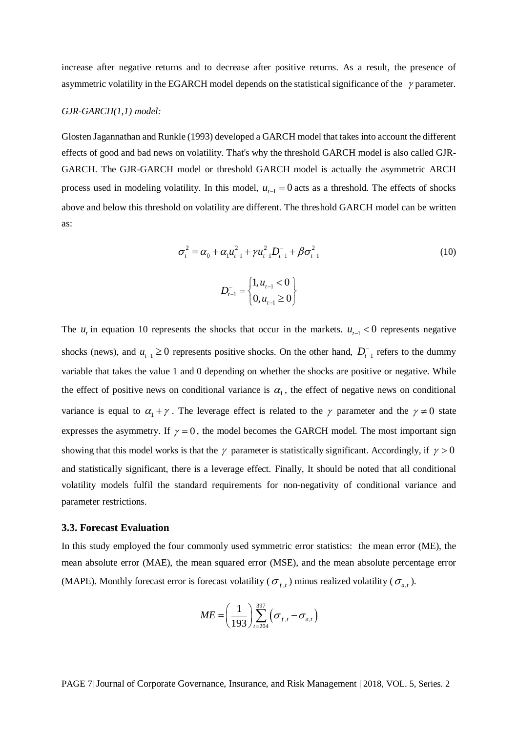increase after negative returns and to decrease after positive returns. As a result, the presence of asymmetric volatility in the EGARCH model depends on the statistical significance of the  $\gamma$  parameter.

# *GJR-GARCH(1,1) model:*

Glosten Jagannathan and Runkle (1993) developed a GARCH model that takes into account the different effects of good and bad news on volatility. That's why the threshold GARCH model is also called GJR-GARCH. The GJR-GARCH model or threshold GARCH model is actually the asymmetric ARCH process used in modeling volatility. In this model,  $u_{t-1} = 0$  acts as a threshold. The effects of shocks above and below this threshold on volatility are different. The threshold GARCH model can be written as:

$$
\sigma_t^2 = \alpha_0 + \alpha_1 u_{t-1}^2 + \gamma u_{t-1}^2 D_{t-1}^- + \beta \sigma_{t-1}^2
$$
\n
$$
D_{t-1}^- = \begin{cases} 1, u_{t-1} < 0 \\ 0, u_{t-1} \ge 0 \end{cases} \tag{10}
$$

The  $u_t$  in equation 10 represents the shocks that occur in the markets.  $u_{t-1} < 0$  represents negative shocks (news), and  $u_{t-1} \ge 0$  represents positive shocks. On the other hand,  $D_{t-1}^-$  refers to the dummy variable that takes the value 1 and 0 depending on whether the shocks are positive or negative. While the effect of positive news on conditional variance is  $\alpha_1$ , the effect of negative news on conditional variance is equal to  $\alpha_1 + \gamma$ . The leverage effect is related to the  $\gamma$  parameter and the  $\gamma \neq 0$  state expresses the asymmetry. If  $\gamma = 0$ , the model becomes the GARCH model. The most important sign showing that this model works is that the  $\gamma$  parameter is statistically significant. Accordingly, if  $\gamma > 0$ and statistically significant, there is a leverage effect. Finally, It should be noted that all conditional volatility models fulfil the standard requirements for non-negativity of conditional variance and parameter restrictions.

#### **3.3. Forecast Evaluation**

In this study employed the four commonly used symmetric error statistics: the mean error (ME), the mean absolute error (MAE), the mean squared error (MSE), and the mean absolute percentage error (MAPE). Monthly forecast error is forecast volatility ( $\sigma_{f,t}$ ) minus realized volatility ( $\sigma_{a,t}$ ).

$$
ME = \left(\frac{1}{193}\right) \sum_{t=204}^{397} \left(\sigma_{f,t} - \sigma_{a,t}\right)
$$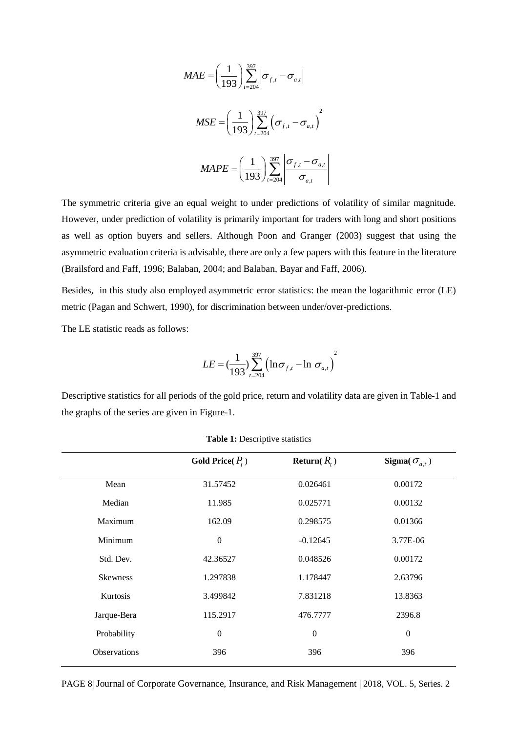$$
MAE = \left(\frac{1}{193}\right) \sum_{t=204}^{397} \left|\sigma_{f,t} - \sigma_{a,t}\right|
$$

$$
MSE = \left(\frac{1}{193}\right) \sum_{t=204}^{397} \left(\sigma_{f,t} - \sigma_{a,t}\right)^2
$$

$$
MAPE = \left(\frac{1}{193}\right) \sum_{t=204}^{397} \left|\frac{\sigma_{f,t} - \sigma_{a,t}}{\sigma_{a,t}}\right|
$$

The symmetric criteria give an equal weight to under predictions of volatility of similar magnitude. However, under prediction of volatility is primarily important for traders with long and short positions as well as option buyers and sellers. Although Poon and Granger (2003) suggest that using the asymmetric evaluation criteria is advisable, there are only a few papers with this feature in the literature (Brailsford and Faff, 1996; Balaban, 2004; and Balaban, Bayar and Faff, 2006).

Besides, in this study also employed asymmetric error statistics: the mean the logarithmic error (LE) metric (Pagan and Schwert, 1990), for discrimination between under/over-predictions.

The LE statistic reads as follows:

$$
LE = (\frac{1}{193}) \sum_{t=204}^{397} (\ln \sigma_{f,t} - \ln \sigma_{a,t})^2
$$

Descriptive statistics for all periods of the gold price, return and volatility data are given in Table-1 and the graphs of the series are given in Figure-1.

|                 | Gold Price $(P_{\epsilon})$ | Return( $R_t$ ) | Sigma( $\sigma_{a,t}$ ) |
|-----------------|-----------------------------|-----------------|-------------------------|
| Mean            | 31.57452                    | 0.026461        | 0.00172                 |
| Median          | 11.985                      | 0.025771        | 0.00132                 |
| Maximum         | 162.09                      | 0.298575        | 0.01366                 |
| Minimum         | $\mathbf{0}$                | $-0.12645$      | 3.77E-06                |
| Std. Dev.       | 42.36527                    | 0.048526        | 0.00172                 |
| <b>Skewness</b> | 1.297838                    | 1.178447        | 2.63796                 |
| Kurtosis        | 3.499842                    | 7.831218        | 13.8363                 |
| Jarque-Bera     | 115.2917                    | 476.7777        | 2396.8                  |
| Probability     | $\theta$                    | $\Omega$        | $\Omega$                |
| Observations    | 396                         | 396             | 396                     |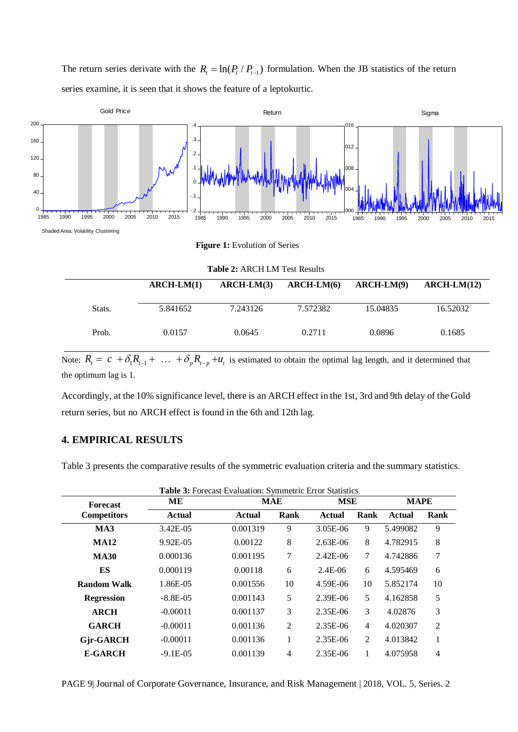The return series derivate with the  $R_t = \ln(P_t / P_{t-1})$  formulation. When the JB statistics of the return series examine, it is seen that it shows the feature of a leptokurtic.



**Figure 1:** Evolution of Series

**Table 2:** ARCH LM Test Results

|        | $ARCH-LM(1)$ | $ARCH-LM(3)$ | $ARCH-LM(6)$ | $ARCH-LM(9)$ | $ARCH-LM(12)$ |
|--------|--------------|--------------|--------------|--------------|---------------|
| Stats. | 5.841652     | 7.243126     | 7.572382     | 15.04835     | 16.52032      |
| Prob.  | 0.0157       | 0.0645       | 0.2711       | 0.0896       | 0.1685        |

Note:  $R_t = c + \delta_1 R_{t-1} + \ldots + \delta_p R_{t-p} + u_t$  is estimated to obtain the optimal lag length, and it determined that the optimum lag is 1.

Accordingly, at the 10% significance level, there is an ARCH effect in the 1st, 3rd and 9th delay of the Gold return series, but no ARCH effect is found in the 6th and 12th lag.

# **4. EMPIRICAL RESULTS**

Table 3 presents the comparative results of the symmetric evaluation criteria and the summary statistics.

| <b>Forecast</b>    | MЕ            |               | <b>MAE</b>     | <b>MSE</b>   |                | <b>MAPE</b> |                |
|--------------------|---------------|---------------|----------------|--------------|----------------|-------------|----------------|
| <b>Competitors</b> | <b>Actual</b> | <b>Actual</b> | Rank           | Actual       | Rank           | Actual      | Rank           |
| MA3                | 3.42E-05      | 0.001319      | 9              | $3.05E - 06$ | 9              | 5.499082    | 9              |
| <b>MA12</b>        | 9.92E-05      | 0.00122       | 8              | $2.63E-06$   | 8              | 4.782915    | 8              |
| <b>MA30</b>        | 0.000136      | 0.001195      | 7              | $2.42E - 06$ | $\tau$         | 4.742886    | 7              |
| ES                 | 0.000119      | 0.00118       | 6              | $2.4E-06$    | 6              | 4.595469    | 6              |
| Random Walk        | 1.86E-05      | 0.001556      | 10             | 4.59E-06     | 10             | 5.852174    | 10             |
| <b>Regression</b>  | $-8.8E - 0.5$ | 0.001143      | 5              | 2.39E-06     | 5              | 4.162858    | 5              |
| <b>ARCH</b>        | $-0.00011$    | 0.001137      | 3              | 2.35E-06     | 3              | 4.02876     | 3              |
| <b>GARCH</b>       | $-0.00011$    | 0.001136      | $\overline{2}$ | 2.35E-06     | $\overline{4}$ | 4.020307    | $\overline{2}$ |
| <b>Gir-GARCH</b>   | $-0.00011$    | 0.001136      | 1              | 2.35E-06     | 2              | 4.013842    | 1              |
| <b>E-GARCH</b>     | $-9.1E-0.5$   | 0.001139      | 4              | 2.35E-06     | 1              | 4.075958    | 4              |

PAGE 9| Journal of Corporate Governance, Insurance, and Risk Management | 2018, VOL. 5, Series. 2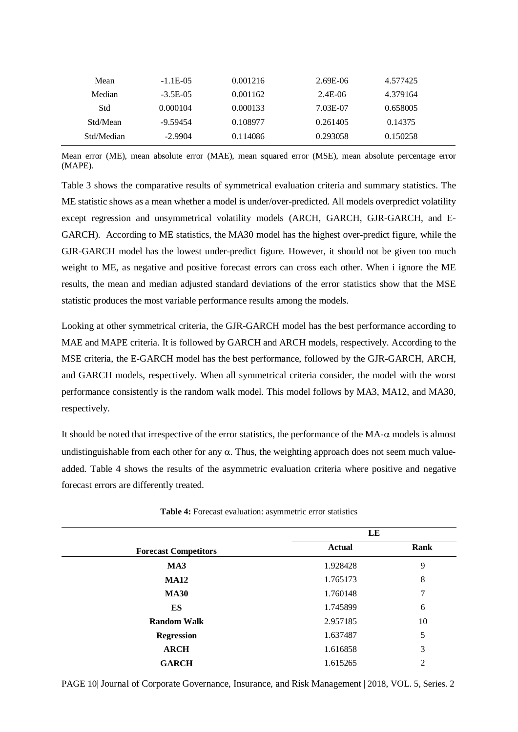| Mean       | $-1.1E-0.5$ | 0.001216 | 2.69E-06 | 4.577425 |
|------------|-------------|----------|----------|----------|
| Median     | $-3.5E-0.5$ | 0.001162 | 2.4E-06  | 4.379164 |
| Std        | 0.000104    | 0.000133 | 7.03E-07 | 0.658005 |
| Std/Mean   | $-9.59454$  | 0.108977 | 0.261405 | 0.14375  |
| Std/Median | $-2.9904$   | 0.114086 | 0.293058 | 0.150258 |

Mean error (ME), mean absolute error (MAE), mean squared error (MSE), mean absolute percentage error (MAPE).

Table 3 shows the comparative results of symmetrical evaluation criteria and summary statistics. The ME statistic shows as a mean whether a model is under/over-predicted. All models overpredict volatility except regression and unsymmetrical volatility models (ARCH, GARCH, GJR-GARCH, and E-GARCH). According to ME statistics, the MA30 model has the highest over-predict figure, while the GJR-GARCH model has the lowest under-predict figure. However, it should not be given too much weight to ME, as negative and positive forecast errors can cross each other. When i ignore the ME results, the mean and median adjusted standard deviations of the error statistics show that the MSE statistic produces the most variable performance results among the models.

Looking at other symmetrical criteria, the GJR-GARCH model has the best performance according to MAE and MAPE criteria. It is followed by GARCH and ARCH models, respectively. According to the MSE criteria, the E-GARCH model has the best performance, followed by the GJR-GARCH, ARCH, and GARCH models, respectively. When all symmetrical criteria consider, the model with the worst performance consistently is the random walk model. This model follows by MA3, MA12, and MA30, respectively.

It should be noted that irrespective of the error statistics, the performance of the  $MA-\alpha$  models is almost undistinguishable from each other for any  $\alpha$ . Thus, the weighting approach does not seem much valueadded. Table 4 shows the results of the asymmetric evaluation criteria where positive and negative forecast errors are differently treated.

|                             | LE            |      |
|-----------------------------|---------------|------|
| <b>Forecast Competitors</b> | <b>Actual</b> | Rank |
| MA3                         | 1.928428      | 9    |
| <b>MA12</b>                 | 1.765173      | 8    |
| <b>MA30</b>                 | 1.760148      | 7    |
| <b>ES</b>                   | 1.745899      | 6    |
| <b>Random Walk</b>          | 2.957185      | 10   |
| <b>Regression</b>           | 1.637487      | 5    |
| <b>ARCH</b>                 | 1.616858      | 3    |
| <b>GARCH</b>                | 1.615265      | 2    |

**Table 4:** Forecast evaluation: asymmetric error statistics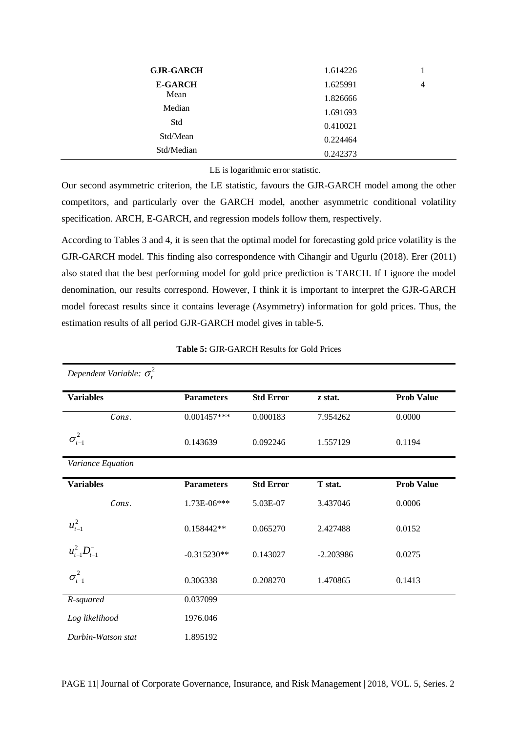| <b>GJR-GARCH</b> | 1.614226 |   |
|------------------|----------|---|
| <b>E-GARCH</b>   | 1.625991 | 4 |
| Mean             | 1.826666 |   |
| Median           | 1.691693 |   |
| Std              | 0.410021 |   |
| Std/Mean         | 0.224464 |   |
| Std/Median       | 0.242373 |   |

LE is logarithmic error statistic.

Our second asymmetric criterion, the LE statistic, favours the GJR-GARCH model among the other competitors, and particularly over the GARCH model, another asymmetric conditional volatility specification. ARCH, E-GARCH, and regression models follow them, respectively.

According to Tables 3 and 4, it is seen that the optimal model for forecasting gold price volatility is the GJR-GARCH model. This finding also correspondence with Cihangir and Ugurlu (2018). Erer (2011) also stated that the best performing model for gold price prediction is TARCH. If I ignore the model denomination, our results correspond. However, I think it is important to interpret the GJR-GARCH model forecast results since it contains leverage (Asymmetry) information for gold prices. Thus, the estimation results of all period GJR-GARCH model gives in table-5.

| Dependent Variable: $\sigma_t^2$ |                   |                  |             |                   |
|----------------------------------|-------------------|------------------|-------------|-------------------|
| <b>Variables</b>                 | <b>Parameters</b> | <b>Std Error</b> | z stat.     | <b>Prob Value</b> |
| Cons.                            | $0.001457***$     | 0.000183         | 7.954262    | 0.0000            |
| $\sigma_{t-1}^2$                 | 0.143639          | 0.092246         | 1.557129    | 0.1194            |
| Variance Equation                |                   |                  |             |                   |
| <b>Variables</b>                 | <b>Parameters</b> | <b>Std Error</b> | T stat.     | <b>Prob Value</b> |
| Cons.                            | 1.73E-06***       | 5.03E-07         | 3.437046    | 0.0006            |
| $u_{t-1}^2$                      | 0.158442**        | 0.065270         | 2.427488    | 0.0152            |
| $u_{t-1}^2D_{t-1}^-$             | $-0.315230**$     | 0.143027         | $-2.203986$ | 0.0275            |
| $\sigma_{t-1}^2$                 | 0.306338          | 0.208270         | 1.470865    | 0.1413            |
| R-squared                        | 0.037099          |                  |             |                   |
| Log likelihood                   | 1976.046          |                  |             |                   |
| Durbin-Watson stat               | 1.895192          |                  |             |                   |

| <b>Table 5: GJR-GARCH Results for Gold Prices</b> |  |
|---------------------------------------------------|--|
|---------------------------------------------------|--|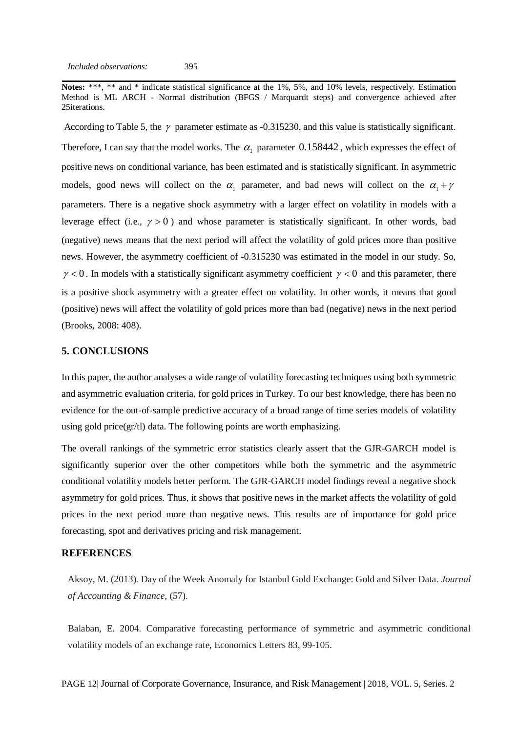**Notes:** \*\*\*, \*\* and \* indicate statistical significance at the 1%, 5%, and 10% levels, respectively. Estimation Method is ML ARCH - Normal distribution (BFGS / Marquardt steps) and convergence achieved after 25iterations.

According to Table 5, the  $\gamma$  parameter estimate as -0.315230, and this value is statistically significant. Therefore, I can say that the model works. The  $\alpha_1$  parameter 0.158442, which expresses the effect of positive news on conditional variance, has been estimated and is statistically significant. In asymmetric models, good news will collect on the  $\alpha_1$  parameter, and bad news will collect on the  $\alpha_1 + \gamma$ parameters. There is a negative shock asymmetry with a larger effect on volatility in models with a leverage effect (i.e.,  $\gamma > 0$ ) and whose parameter is statistically significant. In other words, bad (negative) news means that the next period will affect the volatility of gold prices more than positive news. However, the asymmetry coefficient of -0.315230 was estimated in the model in our study. So,  $\gamma$  < 0. In models with a statistically significant asymmetry coefficient  $\gamma$  < 0 and this parameter, there is a positive shock asymmetry with a greater effect on volatility. In other words, it means that good (positive) news will affect the volatility of gold prices more than bad (negative) news in the next period (Brooks, 2008: 408).

### **5. CONCLUSIONS**

In this paper, the author analyses a wide range of volatility forecasting techniques using both symmetric and asymmetric evaluation criteria, for gold prices in Turkey. To our best knowledge, there has been no evidence for the out-of-sample predictive accuracy of a broad range of time series models of volatility using gold price(gr/tl) data. The following points are worth emphasizing.

The overall rankings of the symmetric error statistics clearly assert that the GJR-GARCH model is significantly superior over the other competitors while both the symmetric and the asymmetric conditional volatility models better perform. The GJR-GARCH model findings reveal a negative shock asymmetry for gold prices. Thus, it shows that positive news in the market affects the volatility of gold prices in the next period more than negative news. This results are of importance for gold price forecasting, spot and derivatives pricing and risk management.

#### **REFERENCES**

Aksoy, M. (2013). Day of the Week Anomaly for Istanbul Gold Exchange: Gold and Silver Data. *Journal of Accounting & Finance*, (57).

Balaban, E. 2004. Comparative forecasting performance of symmetric and asymmetric conditional volatility models of an exchange rate, Economics Letters 83, 99-105.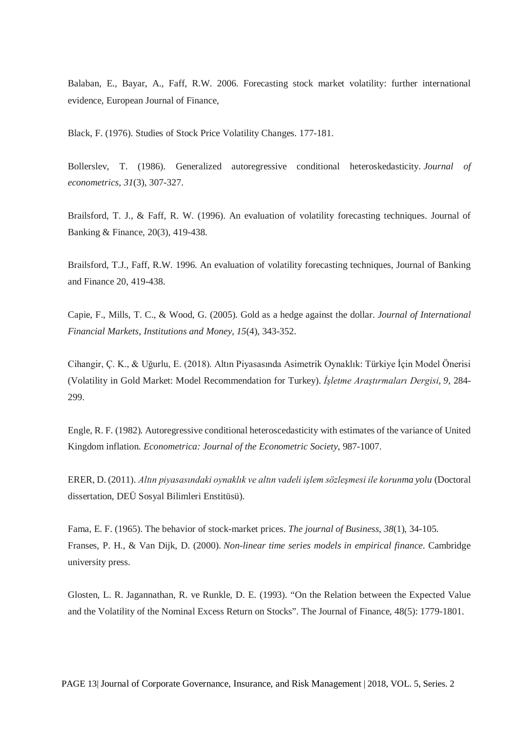Balaban, E., Bayar, A., Faff, R.W. 2006. Forecasting stock market volatility: further international evidence, European Journal of Finance,

Black, F. (1976). Studies of Stock Price Volatility Changes. 177-181.

Bollerslev, T. (1986). Generalized autoregressive conditional heteroskedasticity. *Journal of econometrics*, *31*(3), 307-327.

Brailsford, T. J., & Faff, R. W. (1996). An evaluation of volatility forecasting techniques. Journal of Banking & Finance, 20(3), 419-438.

Brailsford, T.J., Faff, R.W. 1996. An evaluation of volatility forecasting techniques, Journal of Banking and Finance 20, 419-438.

Capie, F., Mills, T. C., & Wood, G. (2005). Gold as a hedge against the dollar. *Journal of International Financial Markets, Institutions and Money*, *15*(4), 343-352.

Cihangir, Ç. K., & Uğurlu, E. (2018). Altın Piyasasında Asimetrik Oynaklık: Türkiye İçin Model Önerisi (Volatility in Gold Market: Model Recommendation for Turkey). *İşletme Araştırmaları Dergisi*, *9*, 284- 299.

Engle, R. F. (1982). Autoregressive conditional heteroscedasticity with estimates of the variance of United Kingdom inflation. *Econometrica: Journal of the Econometric Society*, 987-1007.

ERER, D. (2011). *Altın piyasasındaki oynaklık ve altın vadeli işlem sözleşmesi ile korunma yolu* (Doctoral dissertation, DEÜ Sosyal Bilimleri Enstitüsü).

Fama, E. F. (1965). The behavior of stock-market prices. *The journal of Business*, *38*(1), 34-105. Franses, P. H., & Van Dijk, D. (2000). *Non-linear time series models in empirical finance*. Cambridge university press.

Glosten, L. R. Jagannathan, R. ve Runkle, D. E. (1993). "On the Relation between the Expected Value and the Volatility of the Nominal Excess Return on Stocks". The Journal of Finance, 48(5): 1779-1801.